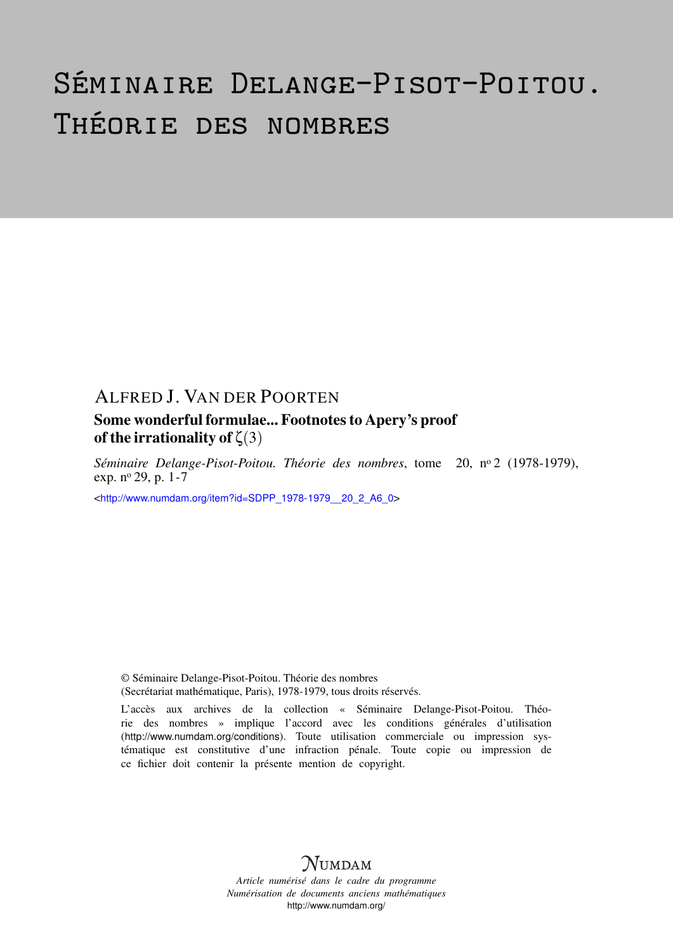# Séminaire Delange-Pisot-Poitou. Théorie des nombres

### ALFRED J. VAN DER POORTEN

#### Some wonderful formulae... Footnotes to Apery's proof of the irrationality of  $\zeta(3)$

*Séminaire Delange-Pisot-Poitou. Théorie des nombres*, tome 20, n<sup>o</sup> 2 (1978-1979), exp. n<sup>o</sup> 29, p. 1-7

<[http://www.numdam.org/item?id=SDPP\\_1978-1979\\_\\_20\\_2\\_A6\\_0](http://www.numdam.org/item?id=SDPP_1978-1979__20_2_A6_0)>

© Séminaire Delange-Pisot-Poitou. Théorie des nombres (Secrétariat mathématique, Paris), 1978-1979, tous droits réservés.

L'accès aux archives de la collection « Séminaire Delange-Pisot-Poitou. Théorie des nombres » implique l'accord avec les conditions générales d'utilisation (<http://www.numdam.org/conditions>). Toute utilisation commerciale ou impression systématique est constitutive d'une infraction pénale. Toute copie ou impression de ce fichier doit contenir la présente mention de copyright.

## $N$ UMDAM

*Article numérisé dans le cadre du programme Numérisation de documents anciens mathématiques* <http://www.numdam.org/>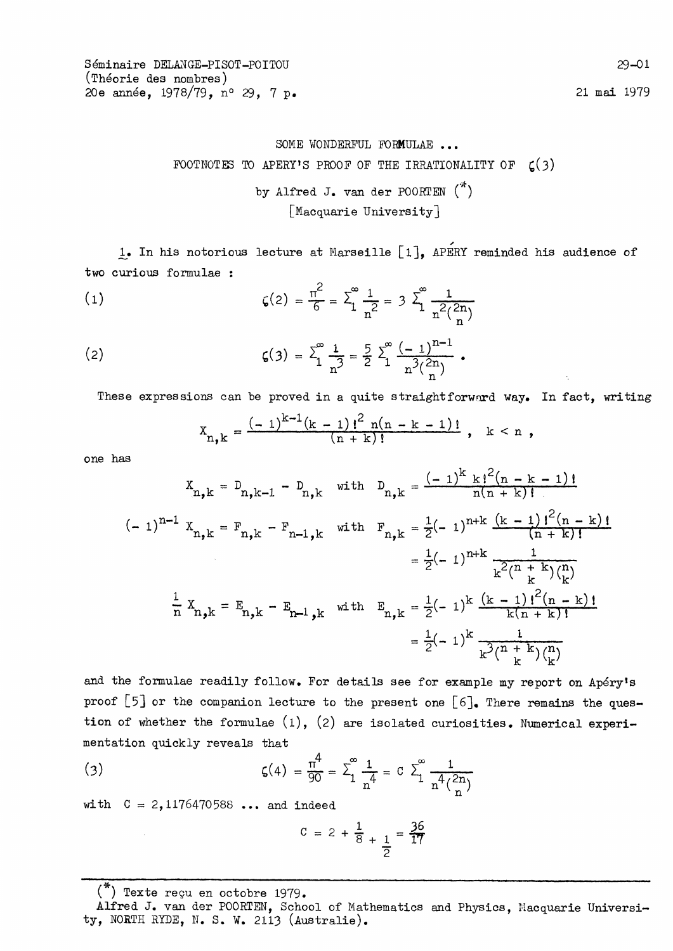21 mai 1979

### SOME WONDERFUL FORMULAE ... FOOTNOTES TO APERY'S PROOF OF THE IRRATIONALITY OF  $\zeta(3)$

by Alfred J. van der POORTEN  $(*)$ [Macquarie University]

1. In his notorious lecture at Marseille [1], APERY reminded his audience of two curious formulae :

(1) 
$$
\zeta(2) = \frac{\pi^2}{6} = \sum_{1}^{\infty} \frac{1}{n^2} = 3 \sum_{1}^{\infty} \frac{1}{n^2(\frac{2n}{n})}
$$

(2) 
$$
\zeta(3) = \sum_{1}^{\infty} \frac{1}{n^3} = \frac{5}{2} \sum_{1}^{\infty} \frac{(-1)^{n-1}}{n^3 {2n \choose n}}.
$$

These expressions can be proved in a quite straightforward way. In fact, writing

$$
X_{n,k} = \frac{(-1)^{k-1}(k-1)!^{2} n(n-k-1)!}{(n+k)!}, \quad k < n,
$$

one has

$$
X_{n,k} = D_{n,k-1} - D_{n,k} \text{ with } D_{n,k} = \frac{(-1)^k k!^2 (n - k - 1)!}{n(n + k)!}
$$
  
\n
$$
(-1)^{n-1} X_{n,k} = F_{n,k} - F_{n-1,k} \text{ with } F_{n,k} = \frac{1}{2} (-1)^{n+k} \frac{(k - 1)!^2 (n - k)!}{(n + k)!}
$$
  
\n
$$
= \frac{1}{2} (-1)^{n+k} \frac{1}{k^2 (n + k)} \frac{1}{k!}
$$
  
\n
$$
\frac{1}{n} X_{n,k} = E_{n,k} - E_{n-1,k} \text{ with } E_{n,k} = \frac{1}{2} (-1)^k \frac{(k - 1)!^2 (n - k)!}{k(n + k)!}
$$
  
\n
$$
= \frac{1}{2} (-1)^k \frac{1}{k^2 (n + k)} \frac{1}{n!}
$$

and the formulae readily follow. For details see for example my report on Apéry's proof [5] or the companion lecture to the present one  $[6]$ . There remains the question of whether the formulae  $(1)$ ,  $(2)$  are isolated curiosities. Numerical experimentation quickly reveals that

(3) 
$$
\zeta(4) = \frac{\pi^4}{90} = \sum_{1}^{\infty} \frac{1}{n^4} = C \sum_{1}^{\infty} \frac{1}{n^4 \binom{2n}{n}}
$$

with  $C = 2,1176470588...$  and indeed

$$
C = 2 + \frac{1}{8} + \frac{1}{2} = \frac{36}{17}
$$

 $(*)$  Texte reçu en octobre 1979.

Alfred J. van der POORTEN, School of Mathematics and Physics, Macquarie University, NORTH RYDE, N. S. W. 2113 (Australie).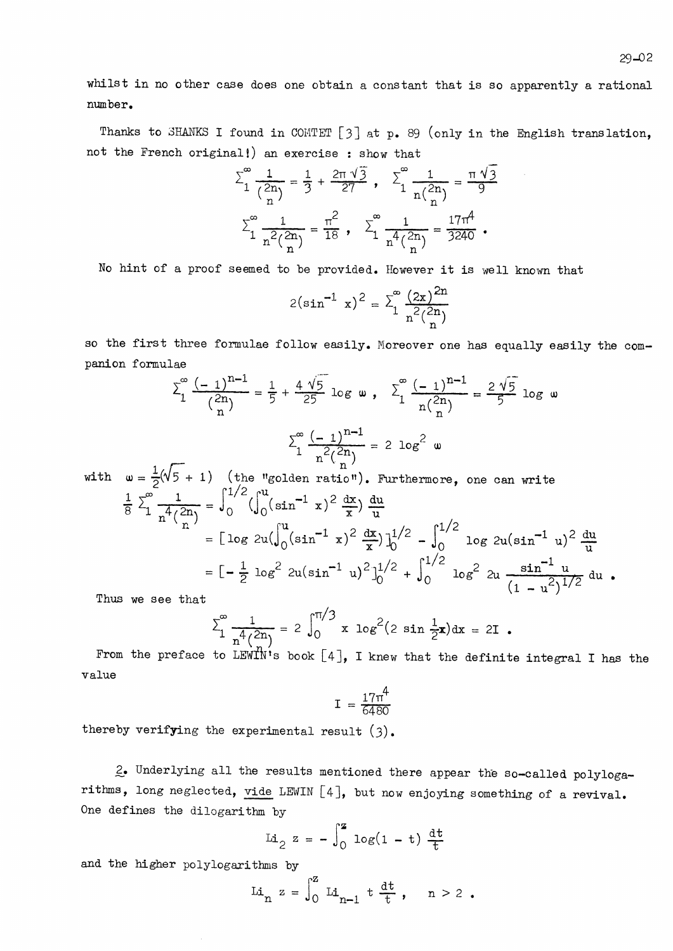Thanks to SHANKS I found in COMTET [3] at p. 89 (only in the English translation, not the French original!) an exercise : show that

$$
\sum_{1}^{\infty} \frac{1}{\binom{2n}{n}} = \frac{1}{3} + \frac{2\pi \sqrt{3}}{27}, \quad \sum_{1}^{\infty} \frac{1}{n\binom{2n}{n}} = \frac{\pi \sqrt{3}}{9}
$$

$$
\sum_{1}^{\infty} \frac{1}{n^{2} \binom{2n}{n}} = \frac{\pi^{2}}{18}, \quad \sum_{1}^{\infty} \frac{1}{n^{4} \binom{2n}{n}} = \frac{17\pi^{4}}{3240}.
$$

No hint of a proof seemed to be provided. However it is well known that

$$
2(\sin^{-1} x)^2 = \sum_{1}^{\infty} \frac{(2x)^{2n}}{n^2 {2n \choose n}}
$$

so the first three formulae follow easily. Moreover one has equally easily the companion formulae

$$
\sum_{1}^{\infty} \frac{(-1)^{n-1}}{2n} = \frac{1}{5} + \frac{4\sqrt{5}}{25} \log \omega, \quad \sum_{1}^{\infty} \frac{(-1)^{n-1}}{n \binom{2n}{n}} = \frac{2\sqrt{5}}{5} \log \omega
$$

$$
\sum_{1}^{\infty} \frac{(-1)^{n-1}}{n^2 \binom{2n}{n}} = 2 \log^2 \omega
$$

$$
\omega = \frac{1}{2}(\sqrt{5} + 1) \quad \text{(the "golden ratio"). Furthermore, one can write}
$$

$$
\frac{1}{8} \sum_{1}^{\infty} \frac{1}{4 \cdot 2n} = \int_{0}^{1/2} (\int_{0}^{u} (\sin^{-1} x)^2 \frac{dx}{x}) \frac{du}{u}
$$

$$
\int_{0}^{1} \frac{x}{n} \, dx
$$
\n
$$
= \left[ \log 2u \left( \int_{0}^{u} (\sin^{-1} x)^{2} \frac{dx}{x} \right) \Big|_{0}^{1/2} - \int_{0}^{1/2} \log 2u (\sin^{-1} u)^{2} \frac{du}{u}
$$
\n
$$
= \left[ -\frac{1}{2} \log^{2} 2u (\sin^{-1} u)^{2} \right]_{0}^{1/2} + \int_{0}^{1/2} \log^{2} 2u \frac{\sin^{-1} u}{(1 - u^{2})^{1/2}} du.
$$
\nas we see that

Thus we see that

with

$$
\sum_{1}^{\infty} \frac{1}{n^4 \binom{2n}{n}} = 2 \int_{0}^{\pi/3} x \log^{2}(2 \sin \frac{1}{2}x) dx = 2I
$$

From the preface to LEWIN's book  $[4]$ , I knew that the definite integral I has the value

$$
I = \frac{17\pi^4}{6480}
$$

thereby verifying the experimental result  $(3)$ .

2. Underlying all the results mentioned there appear the so-called polylogarithms, long neglected, vide LEWIN [4], but now enjoying something of a revival. One defines the dilogarithm by

Li<sub>2</sub> 
$$
z = -\int_0^z \log(1 - t) \frac{dt}{t}
$$

and the higher polylogarithms by

Li<sub>n</sub> 
$$
z = \int_0^z Li_{n-1} \, t \, \frac{dt}{t}
$$
, n > 2.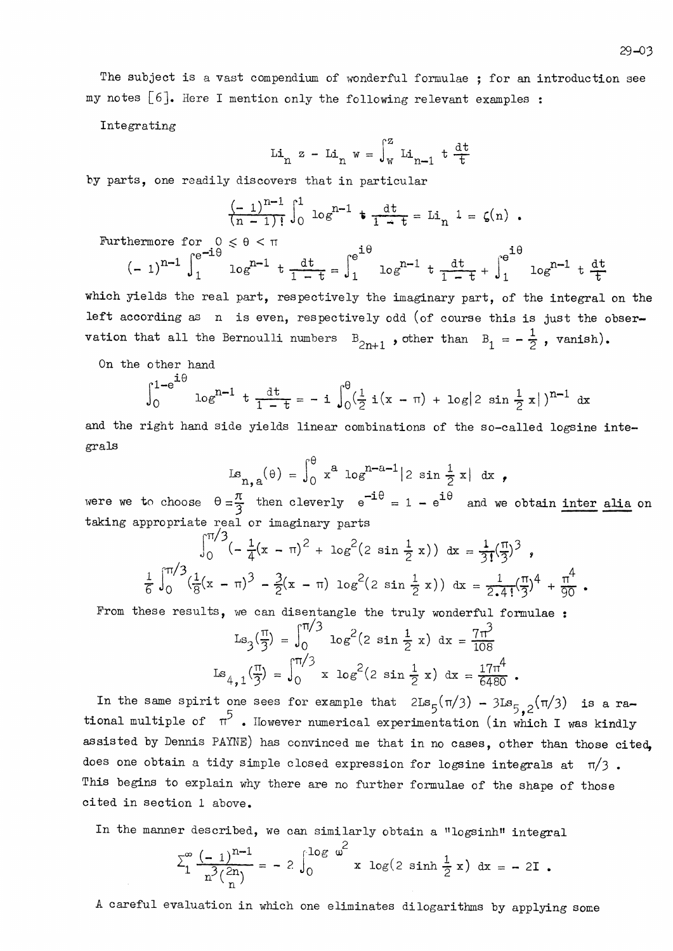The subject is a vast compendium of wonderful formulae ; for an introduction see my notes  $[6]$ . Here I mention only the following relevant examples :

Integrating

$$
\operatorname{Li}_{n} z - \operatorname{Li}_{n} w = \int_{w}^{z} \operatorname{Li}_{n-1} t \frac{dt}{t}
$$

by parts, one readily discovers that in particular

$$
\frac{(-1)^{n-1}}{(n-1)!} \int_0^1 \log^{n-1} t \frac{dt}{1-t} = Li_n \ 1 = \zeta(n) .
$$

 $\cdot$   $\sim$ 

Furthermore for  $0 \le \theta \le \pi$ 

$$
(-1)^{n-1} \int_{1}^{e^{-1\theta}} \log^{n-1} t \frac{dt}{1-t} = \int_{1}^{e^{1\theta}} \log^{n-1} t \frac{dt}{1-t} + \int_{1}^{e^{1\theta}} \log^{n-1} t \frac{dt}{t}
$$

 $\cdot$   $\sim$ 

which yields the real part, respectively the imaginary part, of the integral on the left according as n is even, respectively odd (of course this is just the observation that all the Bernoulli numbers  $B_{2n+1}$ , other than  $B_1 = -\frac{1}{2}$ , vanish).

On the other hand

 $\div$   $\triangle$ 

$$
\int_0^{1-e^{-x}} \log^{n-1} t \frac{dt}{1-t} = -i \int_0^{\theta} (\frac{1}{2} i(x-\pi) + \log |2 \sin \frac{1}{2} x|)^{n-1} dx
$$

and the right hand side yields linear combinations of the so-called logsine integrals

$$
Ls_{n,a}(\theta) = \int_0^{\theta} x^a \log^{n-a-1} |2 \sin \frac{1}{2} x| dx ,
$$

were we to choose  $\theta = \frac{\pi}{3}$  then cleverly  $e^{-i\theta} = 1 - e^{i\theta}$  and we obtain <u>inter alia</u> on taking appropriate real or imaginary parts

$$
\int_0^{\pi/3} \left(-\frac{1}{4}(x-\pi)^2 + \log^2(2 \sin \frac{1}{2} x)\right) dx = \frac{1}{3!} (\frac{\pi}{3})^3,
$$
  

$$
\frac{1}{6} \int_0^{\pi/3} \left(\frac{1}{8}(x-\pi)^3 - \frac{3}{2}(x-\pi) \log^2(2 \sin \frac{1}{2} x)\right) dx = \frac{1}{2 \cdot 4!} (\frac{\pi}{3})^4 + \frac{\pi^4}{90}.
$$

From these results, we can disentangle the truly wonderful formulae :

$$
\operatorname{Ls}_{3}(\frac{\pi}{3}) = \int_{0}^{\pi/3} \log^{2}(2 \sin \frac{1}{2} x) dx = \frac{7\pi^{3}}{108}
$$

$$
\operatorname{Ls}_{4,1}(\frac{\pi}{3}) = \int_{0}^{\pi/3} x \log^{2}(2 \sin \frac{1}{2} x) dx = \frac{17\pi^{4}}{6480}.
$$

In the same spirit one sees for example that  $2\text{Ls}_5(\pi/3)$  -  $3\text{Ls}_{5,2}(\pi/3)$  is a rational multiple of  $\pi^5$ . However numerical experimentation (in which I was kindly assisted by Dennis PAYNE) has convinced me that in no cases, other than those cited. does one obtain a tidy simple closed expression for logsine integrals at  $\pi/3$ . This begins to explain why there are no further formulae of the shape of those cited in section 1 above.

In the manner described, we can similarly obtain a "logsinh" integral

$$
\sum_{1}^{\infty} \frac{(-1)^{n-1}}{n^3 {2n \choose n}} = -2 \int_{0}^{\log \omega} x \log(2 \sinh \frac{1}{2} x) dx = -2I.
$$

A careful evaluation in which one eliminates dilogarithms by applying some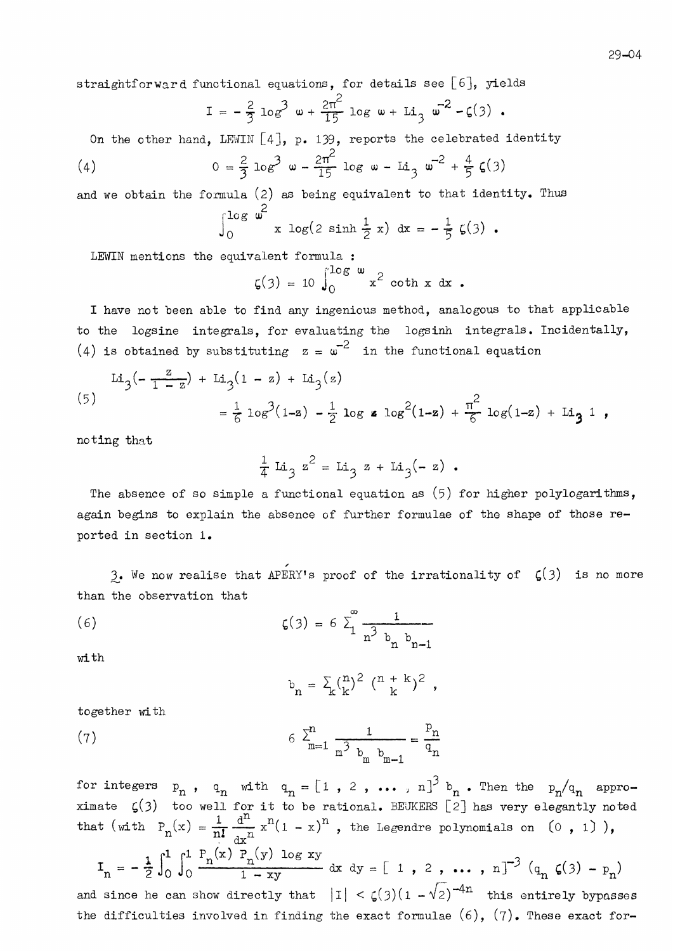straightforward functional equations, for details see [6], yields

$$
I = -\frac{2}{3} \log^{3} \omega + \frac{2\pi^{2}}{15} \log \omega + Li_{3} \omega^{2} - \zeta(3) .
$$

On the other hand, LEWIN  $[4]$ , p. 139, reports the celebrated identity

(4) 
$$
0 = \frac{2}{3} \log^3 w - \frac{2\pi^2}{15} \log w - \text{Li}_3 w^{-2} + \frac{4}{5} \zeta(3)
$$

and we obtain the formula  $(2)$  as being equivalent to that identity. Thus  $\sim$  2

$$
\int_0^{\infty} \frac{1}{x} \log(2 \sinh \frac{1}{2} x) dx = -\frac{1}{5} \zeta(3).
$$

LEWIN mentions the equivalent formula :

$$
\zeta(3) = 10 \int_0^{\log \omega} x^2 \coth x \, dx
$$
.

I have not been able to find any ingenious method, analogous to that applicable to the logsine integrals, for evaluating the logsinh integrals. Incidentally, (4) is obtained by substituting  $z = \omega^{-2}$  in the functional equation

$$
\begin{aligned} \text{Li}_3(-\frac{z}{1-z}) + \text{Li}_3(1-z) + \text{Li}_3(z) \\ &= \frac{1}{6} \log^3(1-z) - \frac{1}{2} \log z \log^2(1-z) + \frac{\pi^2}{6} \log(1-z) + \text{Li}_3 1 \end{aligned}
$$

noting that

$$
\frac{1}{4} \text{ Li}_3 z^2 = \text{Li}_3 z + \text{Li}_3(-z) .
$$

The absence of so simple a functional equation as  $(5)$  for higher polylogarithms, again begins to explain the absence of further formulae of the shape of those reported in section 1.

3. We now realise that APERY's proof of the irrationality of  $\zeta(3)$  is no more than the observation that

(6) 
$$
\zeta(3) = 6 \sum_{1}^{\infty} \frac{1}{n^3 b_n b_{n-1}}
$$

with

$$
b_n = \sum_k {n \choose k}^2 (n+k)^2 ,
$$

together with

(7) 
$$
6 \sum_{m=1}^{n} \frac{1}{m^3 b_m b_{m-1}} = \frac{P_n}{q_n}
$$

for integers  $p_n$ ,  $q_n$  with  $q_n = [1, 2, \dots, n]^3 b_n$ . Then the  $p_n/q_n$  appro-<br>ximate  $\zeta(3)$  too well for it to be rational. BEUKERS [2] has very elegantly noted<br>that (with  $P_n(x) = \frac{1}{n!} \frac{d^n}{dx^n} x^n (1 - x)^n$ , the Legendre polyn  $I_n = -\frac{1}{2} \int_0^1 \int_0^1 \frac{P_n(x) P_n(y) \log xy}{1 - xy} dx dy = [1, 2, ..., n]^{-3} (q_n \zeta(3) - p_n)$ and since he can show directly that  $|I| < \zeta(3)(1 - \sqrt{2})^{-4n}$  this entirely bypasses

the difficulties involved in finding the exact formulae  $(6)$ ,  $(7)$ . These exact for-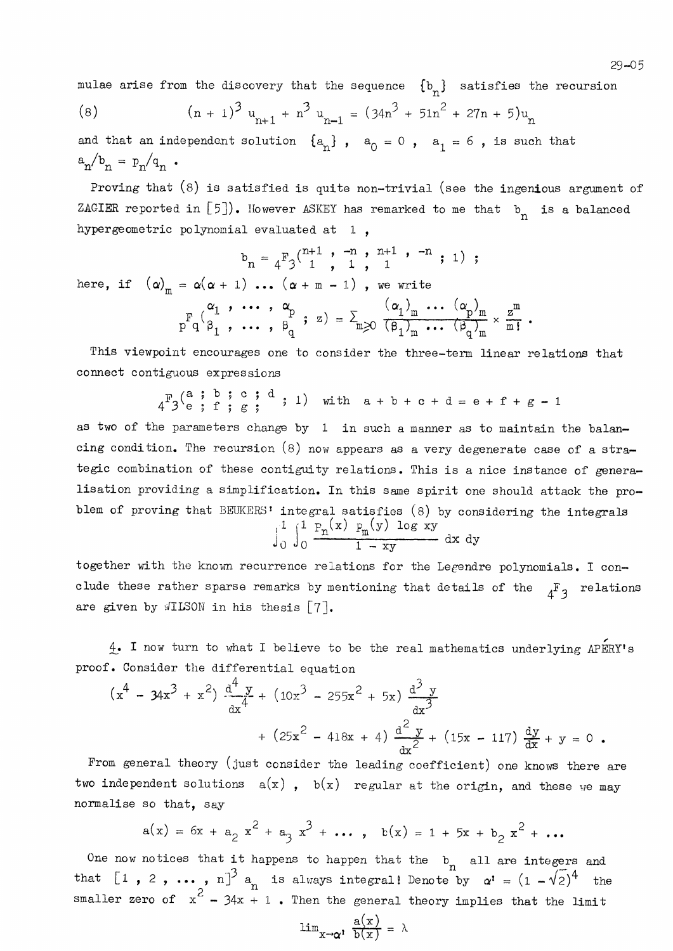$29 - 05$ 

mulae arise from the discovery that the sequence  $\{b_n\}$  satisfies the recursion

(8) 
$$
(n + 1)^3 u_{n+1} + n^3 u_{n-1} = (34n^3 + 51n^2 + 27n + 5)u_n
$$

and that an independent solution  $\{a_n\}$ ,  $a_0 = 0$ ,  $a_1 = 6$ , is such that  $a_n/b_n = p_n/q_n$ .

Proving that  $(8)$  is satisfied is quite non-trivial (see the ingenious argument of ZAGIER reported in [5]). However ASKEY has remarked to me that  $b_n$  is a balanced hypergeometric polynomial evaluated at 1,

$$
b_n = {}_4F_3 \begin{pmatrix} n+1 & , & -n & , & n+1 & , & -n \\ 1 & , & 1 & , & 1 \end{pmatrix} ;
$$

here, if  $(\alpha)_{m} = \alpha(\alpha + 1) \dots (\alpha + m - 1)$ , we write

$$
P_{q}^{F}(q_{1}^{\alpha_{1}}, \ldots, q_{q}^{\alpha_{p}}; z) = \sum_{m \geq 0} \frac{(\alpha_{1})_{m} \ldots (\alpha_{p})_{m}}{(\beta_{1})_{m} \ldots (\beta_{q})_{m}} \times \frac{z^{m}}{m!}.
$$

This viewpoint encourages one to consider the three-term linear relations that connect contiguous expressions

 $4^F3^{\binom{a}{e}}; \begin{array}{l} 1 \ \ \ \ \text{if} \ \ \text{if} \ \ \text{if} \ \ \text{if} \ \ \text{if} \ \ \text{if} \ \ \text{if} \ \ \text{if} \ \ \text{if} \ \ \text{if} \ \ \text{if} \ \ \text{if} \ \ \text{if} \ \ \text{if} \ \ \text{if} \ \ \text{if} \ \ \text{if} \ \ \text{if} \ \ \text{if} \ \ \text{if} \ \ \text{if} \ \ \text{if} \ \ \text{if} \ \ \text{if} \ \ \text{if} \ \ \text{if} \ \ \text{if} \ \ \text{if$ 

as two of the parameters change by 1 in such a manner as to maintain the balancing condition. The recursion  $(8)$  now appears as a very degenerate case of a strategic combination of these contiguity relations. This is a nice instance of generalisation providing a simplification. In this same spirit one should attack the problem of proving that BEUKERS' integral satisfies (8) by considering the integrals  $\int_{0}^{1} \int_{0}^{1} \frac{F_{n}(x) - F_{m}(y) \log xy}{1 - xy} dx dy$ 

together with the known recurrence relations for the Legendre polynomials. I conclude these rather sparse remarks by mentioning that details of the  $4^F$ <sub>3</sub> relations are given by  $\sqrt{I}$ ISON in his thesis  $[7]$ .

4. I now turn to what I believe to be the real mathematics underlying APERY's proof. Consider the differential equation

$$
\left(x^{4} - 34x^{3} + x^{2}\right) \frac{d^{4} y}{dx^{4}} + \left(10x^{3} - 255x^{2} + 5x\right) \frac{d^{3} y}{dx^{3}}
$$

$$
+ \left(25x^{2} - 418x + 4\right) \frac{d^{2} y}{dx^{2}} + \left(15x - 117\right) \frac{dy}{dx} + y = 0.
$$

From general theory (just consider the leading coefficient) one knows there are two independent solutions  $a(x)$ ,  $b(x)$  regular at the origin, and these we may normalise so that, say

$$
a(x) = 6x + a_2 x2 + a_3 x3 + \dots, b(x) = 1 + 5x + b_2 x2 + \dots
$$

One now notices that it happens to happen that the  $b_n$  all are integers and that  $\begin{bmatrix} 1 & 2 & 0 & \cdots \end{bmatrix}$ ,  $n \begin{bmatrix} 3 & a \end{bmatrix}$  is always integral! Denote by  $\alpha' = (1 - \sqrt{2})^4$  the smaller zero of  $x^2 - 34x + 1$ . Then the general theory implies that the limit

$$
\lim_{x \to \alpha'} \frac{a(x)}{b(x)} = \lambda
$$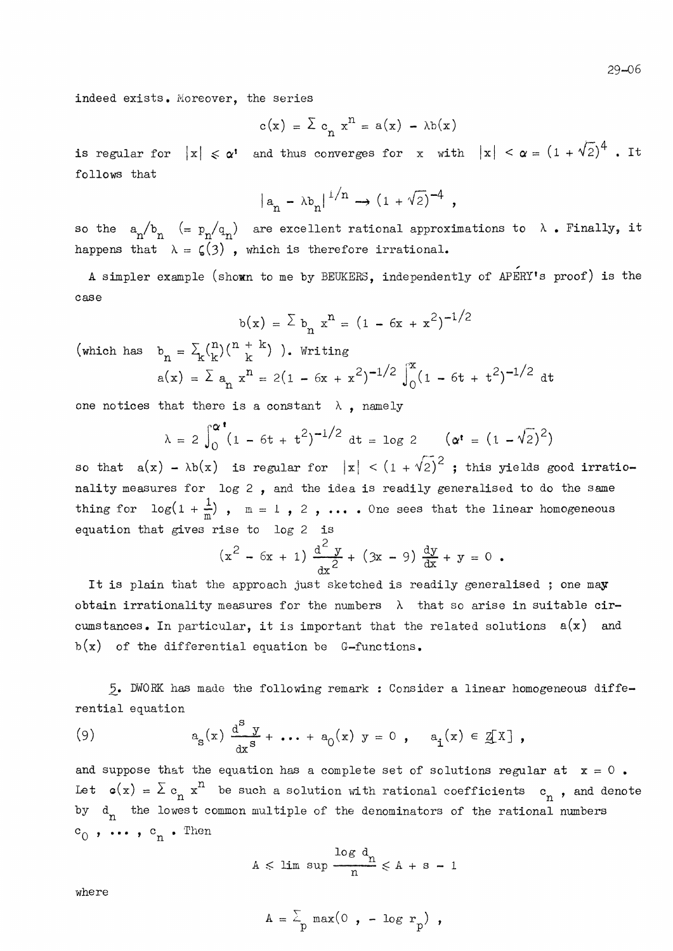indeed exists. Moreover, the series

$$
c(x) = \sum c_n x^n = a(x) - \lambda b(x)
$$

is regular for  $|x| \le \alpha$ ' and thus converges for x with  $|x| < \alpha = (1 + \sqrt{2})^4$ . It follows that

$$
|a_n - \lambda b_n|^{1/n} \rightarrow (1 + \sqrt{2})^{-4},
$$

so the  $a_n/b_n$  (=  $p_n/q_n$ ) are excellent rational approximations to  $\lambda$ . Finally, it happens that  $\lambda = \zeta(3)$ , which is therefore irrational.

A simpler example (shown to me by BEUKERS, independently of APERY's proof) is the case

$$
b(x) = \sum b_n x^n = (1 - 6x + x^2)^{-1/2}
$$

(which has  $b_n = \sum_{k} {n \choose k} {n+k \choose k}$ ). Writing

$$
a(x) = \sum a_n x^n = 2(1 - 6x + x^2)^{-1/2} \int_0^x (1 - 6t + t^2)^{-1/2} dt
$$

one notices that there is a constant  $\lambda$ , namely

$$
\lambda = 2 \int_0^{\alpha^*} (1 - 6t + t^2)^{-1/2} dt = \log 2 \qquad (\alpha^* = (1 - \sqrt{2})^2)
$$

so that  $a(x) - \lambda b(x)$  is regular for  $|x| < (1 + \sqrt{2})^2$ ; this yields good irrationality measures for log 2, and the idea is readily generalised to do the same thing for  $\log(1+\frac{1}{m})$ ,  $m = 1$ , 2, .... One sees that the linear homogeneous equation that gives rise to  $log 2$  is

$$
(x^{2} - 6x + 1) \frac{d^{2} y}{dx^{2}} + (3x - 9) \frac{dy}{dx} + y = 0
$$

It is plain that the approach just sketched is readily generalised; one may obtain irrationality measures for the numbers  $\lambda$  that so arise in suitable circumstances. In particular, it is important that the related solutions  $a(x)$  and  $b(x)$  of the differential equation be G-functions.

5. DWORK has made the following remark : Consider a linear homogeneous differential equation

(9) 
$$
a_{s}(x) \frac{d^{s} y}{dx^{s}} + \cdots + a_{0}(x) y = 0, \quad a_{i}(x) \in \mathbb{Z}[X],
$$

and suppose that the equation has a complete set of solutions regular at  $x = 0$ . Let  $\mathfrak{a}(x) = \sum c_n x^n$  be such a solution with rational coefficients  $c_n$ , and denote by  $d_n$  the lowest common multiple of the denominators of the rational numbers  $c_{n}$ , ...,  $c_{n}$ . Then

$$
A \leqslant \limsup \frac{\log d_n}{n} \leqslant A + s - 1
$$

where

$$
A = \sum_{p} \max(0, -\log r_p) ,
$$